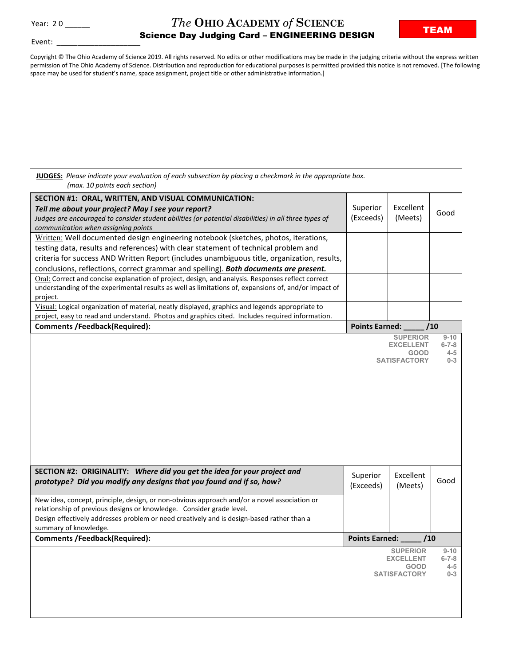Event:

## *The* **OHIO ACADEMY** *of* **SCIENCE**  $\begin{array}{l} \text{Year: } 20 \_\text{20} \_\text{31} \end{array}$   $\begin{array}{l} \text{Section: } \end{array}$   $\begin{array}{l} \text{Science Day Judging Card - ENGINEERING DESIGN \end{array}$

Copyright © The Ohio Academy of Science 2019. All rights reserved. No edits or other modifications may be made in the judging criteria without the express written permission of The Ohio Academy of Science. Distribution and reproduction for educational purposes is permitted provided this notice is not removed. [The following space may be used for student's name, space assignment, project title or other administrative information.]

| JUDGES: Please indicate your evaluation of each subsection by placing a checkmark in the appropriate box.<br>(max. 10 points each section)                                                                                                                 |                              |                                                                           |                                               |
|------------------------------------------------------------------------------------------------------------------------------------------------------------------------------------------------------------------------------------------------------------|------------------------------|---------------------------------------------------------------------------|-----------------------------------------------|
| SECTION #1: ORAL, WRITTEN, AND VISUAL COMMUNICATION:<br>Tell me about your project? May I see your report?<br>Judges are encouraged to consider student abilities (or potential disabilities) in all three types of<br>communication when assigning points | Superior<br>(Exceeds)        | Excellent<br>(Meets)                                                      | Good                                          |
| Written: Well documented design engineering notebook (sketches, photos, iterations,                                                                                                                                                                        |                              |                                                                           |                                               |
| testing data, results and references) with clear statement of technical problem and                                                                                                                                                                        |                              |                                                                           |                                               |
| criteria for success AND Written Report (includes unambiguous title, organization, results,                                                                                                                                                                |                              |                                                                           |                                               |
| conclusions, reflections, correct grammar and spelling). Both documents are present.                                                                                                                                                                       |                              |                                                                           |                                               |
| Oral: Correct and concise explanation of project, design, and analysis. Responses reflect correct<br>understanding of the experimental results as well as limitations of, expansions of, and/or impact of<br>project.                                      |                              |                                                                           |                                               |
| Visual: Logical organization of material, neatly displayed, graphics and legends appropriate to                                                                                                                                                            |                              |                                                                           |                                               |
| project, easy to read and understand. Photos and graphics cited. Includes required information.                                                                                                                                                            |                              |                                                                           |                                               |
| <b>Comments /Feedback(Required):</b>                                                                                                                                                                                                                       | <b>Points Earned:</b><br>/10 |                                                                           |                                               |
|                                                                                                                                                                                                                                                            |                              | <b>SUPERIOR</b><br><b>EXCELLENT</b><br><b>GOOD</b><br><b>SATISFACTORY</b> | $9 - 10$<br>$6 - 7 - 8$<br>$4 - 5$<br>$0 - 3$ |
| SECTION #2: ORIGINALITY: Where did you get the idea for your project and<br>prototype? Did you modify any designs that you found and if so, how?                                                                                                           | Superior<br>(Exceeds)        | Excellent<br>(Meets)                                                      | Good                                          |
| New idea, concept, principle, design, or non-obvious approach and/or a novel association or<br>relationship of previous designs or knowledge. Consider grade level.                                                                                        |                              |                                                                           |                                               |
| Design effectively addresses problem or need creatively and is design-based rather than a                                                                                                                                                                  |                              |                                                                           |                                               |
| summary of knowledge.                                                                                                                                                                                                                                      |                              |                                                                           |                                               |
| <b>Comments /Feedback(Required):</b>                                                                                                                                                                                                                       |                              |                                                                           |                                               |
|                                                                                                                                                                                                                                                            | Points Earned: _             | /10                                                                       |                                               |